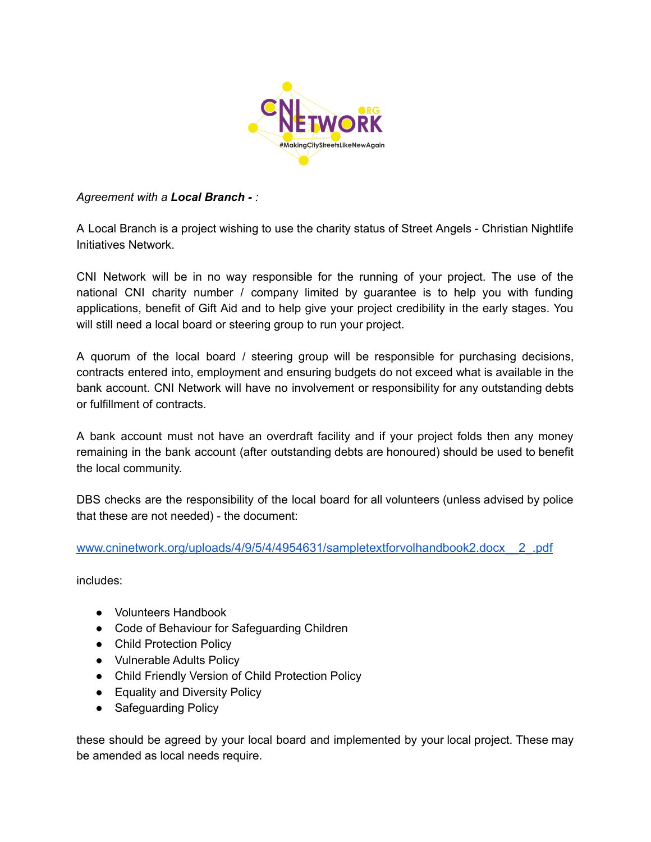

## *Agreement with a Local Branch - :*

A Local Branch is a project wishing to use the charity status of Street Angels - Christian Nightlife Initiatives Network.

CNI Network will be in no way responsible for the running of your project. The use of the national CNI charity number / company limited by guarantee is to help you with funding applications, benefit of Gift Aid and to help give your project credibility in the early stages. You will still need a local board or steering group to run your project.

A quorum of the local board / steering group will be responsible for purchasing decisions, contracts entered into, employment and ensuring budgets do not exceed what is available in the bank account. CNI Network will have no involvement or responsibility for any outstanding debts or fulfillment of contracts.

A bank account must not have an overdraft facility and if your project folds then any money remaining in the bank account (after outstanding debts are honoured) should be used to benefit the local community.

DBS checks are the responsibility of the local board for all volunteers (unless advised by police that these are not needed) - the document:

[www.cninetwork.org/uploads/4/9/5/4/4954631/sampletextforvolhandbook2.docx\\_\\_2\\_.pdf](http://www.cninetwork.org/uploads/4/9/5/4/4954631/sampletextforvolhandbook2.docx__2_.pdf)

includes:

- Volunteers Handbook
- Code of Behaviour for Safeguarding Children
- Child Protection Policy
- Vulnerable Adults Policy
- Child Friendly Version of Child Protection Policy
- Equality and Diversity Policy
- Safeguarding Policy

these should be agreed by your local board and implemented by your local project. These may be amended as local needs require.